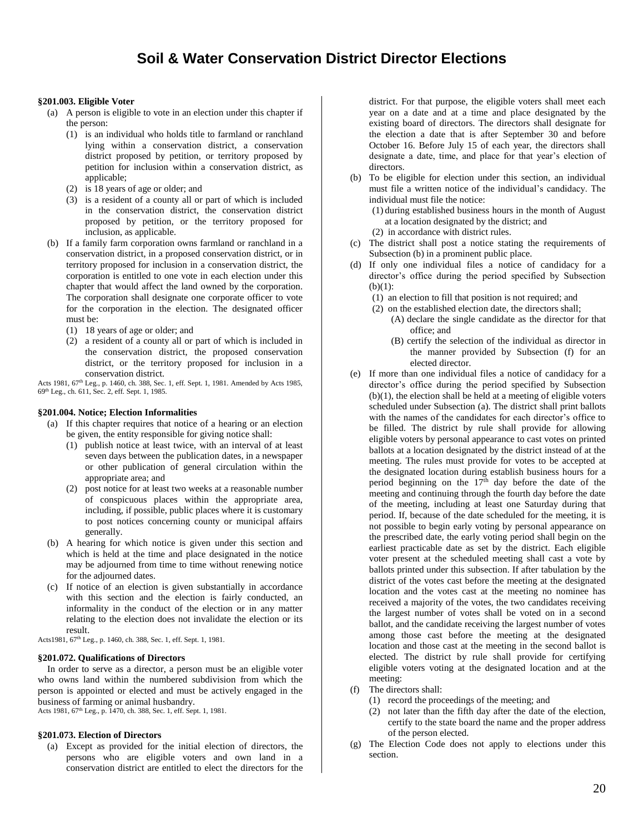## **§201.003. Eligible Voter**

- (a) A person is eligible to vote in an election under this chapter if the person:
	- (1) is an individual who holds title to farmland or ranchland lying within a conservation district, a conservation district proposed by petition, or territory proposed by petition for inclusion within a conservation district, as applicable;
	- (2) is 18 years of age or older; and
	- (3) is a resident of a county all or part of which is included in the conservation district, the conservation district proposed by petition, or the territory proposed for inclusion, as applicable.
- (b) If a family farm corporation owns farmland or ranchland in a conservation district, in a proposed conservation district, or in territory proposed for inclusion in a conservation district, the corporation is entitled to one vote in each election under this chapter that would affect the land owned by the corporation. The corporation shall designate one corporate officer to vote for the corporation in the election. The designated officer must be:
	- (1) 18 years of age or older; and
	- (2) a resident of a county all or part of which is included in the conservation district, the proposed conservation district, or the territory proposed for inclusion in a conservation district.

Acts 1981, 67<sup>th</sup> Leg., p. 1460, ch. 388, Sec. 1, eff. Sept. 1, 1981. Amended by Acts 1985, 69th Leg., ch. 611, Sec. 2, eff. Sept. 1, 1985.

## **§201.004. Notice; Election Informalities**

- (a) If this chapter requires that notice of a hearing or an election be given, the entity responsible for giving notice shall:
	- (1) publish notice at least twice, with an interval of at least seven days between the publication dates, in a newspaper or other publication of general circulation within the appropriate area; and
	- (2) post notice for at least two weeks at a reasonable number of conspicuous places within the appropriate area, including, if possible, public places where it is customary to post notices concerning county or municipal affairs generally.
- (b) A hearing for which notice is given under this section and which is held at the time and place designated in the notice may be adjourned from time to time without renewing notice for the adjourned dates.
- (c) If notice of an election is given substantially in accordance with this section and the election is fairly conducted, an informality in the conduct of the election or in any matter relating to the election does not invalidate the election or its result.

Acts1981, 67<sup>th</sup> Leg., p. 1460, ch. 388, Sec. 1, eff. Sept. 1, 1981.

## **§201.072. Qualifications of Directors**

In order to serve as a director, a person must be an eligible voter who owns land within the numbered subdivision from which the person is appointed or elected and must be actively engaged in the business of farming or animal husbandry.

Acts 1981, 67<sup>th</sup> Leg., p. 1470, ch. 388, Sec. 1, eff. Sept. 1, 1981.

## **§201.073. Election of Directors**

(a) Except as provided for the initial election of directors, the persons who are eligible voters and own land in a conservation district are entitled to elect the directors for the district. For that purpose, the eligible voters shall meet each year on a date and at a time and place designated by the existing board of directors. The directors shall designate for the election a date that is after September 30 and before October 16. Before July 15 of each year, the directors shall designate a date, time, and place for that year's election of directors.

(b) To be eligible for election under this section, an individual must file a written notice of the individual's candidacy. The individual must file the notice:

(1) during established business hours in the month of August at a location designated by the district; and

- (2) in accordance with district rules.
- (c) The district shall post a notice stating the requirements of Subsection (b) in a prominent public place.
- (d) If only one individual files a notice of candidacy for a director's office during the period specified by Subsection  $(h)(1)$ 
	- (1) an election to fill that position is not required; and
	- (2) on the established election date, the directors shall; (A) declare the single candidate as the director for that office; and
		- (B) certify the selection of the individual as director in the manner provided by Subsection (f) for an elected director.
- (e) If more than one individual files a notice of candidacy for a director's office during the period specified by Subsection  $(b)(1)$ , the election shall be held at a meeting of eligible voters scheduled under Subsection (a). The district shall print ballots with the names of the candidates for each director's office to be filled. The district by rule shall provide for allowing eligible voters by personal appearance to cast votes on printed ballots at a location designated by the district instead of at the meeting. The rules must provide for votes to be accepted at the designated location during establish business hours for a period beginning on the  $17<sup>th</sup>$  day before the date of the meeting and continuing through the fourth day before the date of the meeting, including at least one Saturday during that period. If, because of the date scheduled for the meeting, it is not possible to begin early voting by personal appearance on the prescribed date, the early voting period shall begin on the earliest practicable date as set by the district. Each eligible voter present at the scheduled meeting shall cast a vote by ballots printed under this subsection. If after tabulation by the district of the votes cast before the meeting at the designated location and the votes cast at the meeting no nominee has received a majority of the votes, the two candidates receiving the largest number of votes shall be voted on in a second ballot, and the candidate receiving the largest number of votes among those cast before the meeting at the designated location and those cast at the meeting in the second ballot is elected. The district by rule shall provide for certifying eligible voters voting at the designated location and at the meeting:
- (f) The directors shall:
	- (1) record the proceedings of the meeting; and
	- (2) not later than the fifth day after the date of the election, certify to the state board the name and the proper address of the person elected.
- (g) The Election Code does not apply to elections under this section.